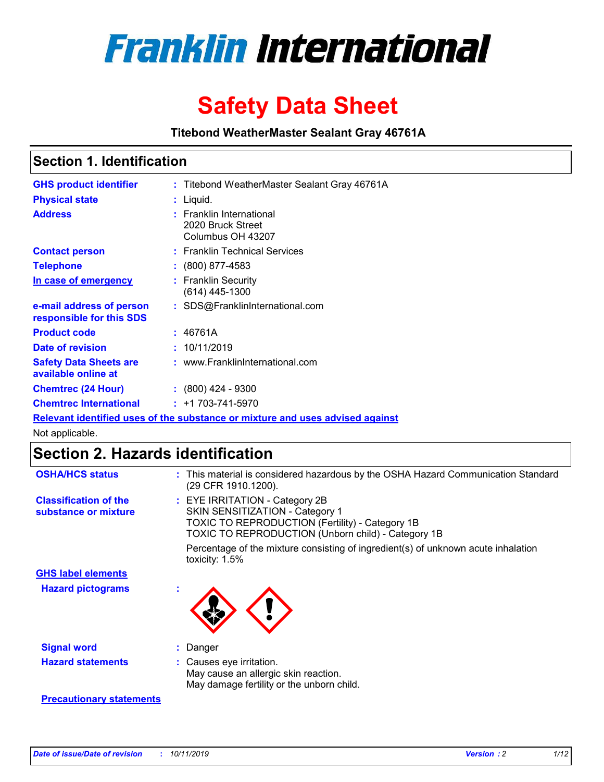

# **Safety Data Sheet**

**Titebond WeatherMaster Sealant Gray 46761A**

### **Section 1. Identification**

| <b>GHS product identifier</b>                        | : Titebond WeatherMaster Sealant Gray 46761A                                  |
|------------------------------------------------------|-------------------------------------------------------------------------------|
| <b>Physical state</b>                                | : Liquid.                                                                     |
| <b>Address</b>                                       | : Franklin International<br>2020 Bruck Street<br>Columbus OH 43207            |
| <b>Contact person</b>                                | : Franklin Technical Services                                                 |
| <b>Telephone</b>                                     | $\div$ (800) 877-4583                                                         |
| In case of emergency                                 | : Franklin Security<br>(614) 445-1300                                         |
| e-mail address of person<br>responsible for this SDS | : SDS@FranklinInternational.com                                               |
| <b>Product code</b>                                  | : 46761A                                                                      |
| Date of revision                                     | : 10/11/2019                                                                  |
| <b>Safety Data Sheets are</b><br>available online at | : www.FranklinInternational.com                                               |
| <b>Chemtrec (24 Hour)</b>                            | $\div$ (800) 424 - 9300                                                       |
| <b>Chemtrec International</b>                        | $: +1703 - 741 - 5970$                                                        |
|                                                      | Relevant identified uses of the substance or mixture and uses advised against |

Not applicable.

# **Section 2. Hazards identification**

| <b>OSHA/HCS status</b>                               | : This material is considered hazardous by the OSHA Hazard Communication Standard<br>(29 CFR 1910.1200).                                                                                 |
|------------------------------------------------------|------------------------------------------------------------------------------------------------------------------------------------------------------------------------------------------|
| <b>Classification of the</b><br>substance or mixture | : EYE IRRITATION - Category 2B<br>SKIN SENSITIZATION - Category 1<br><b>TOXIC TO REPRODUCTION (Fertility) - Category 1B</b><br><b>TOXIC TO REPRODUCTION (Unborn child) - Category 1B</b> |
|                                                      | Percentage of the mixture consisting of ingredient(s) of unknown acute inhalation<br>toxicity: $1.5\%$                                                                                   |
| <b>GHS label elements</b>                            |                                                                                                                                                                                          |
| <b>Hazard pictograms</b>                             |                                                                                                                                                                                          |
| <b>Signal word</b>                                   | : Danger                                                                                                                                                                                 |
| <b>Hazard statements</b>                             | : Causes eye irritation.<br>May cause an allergic skin reaction.<br>May damage fertility or the unborn child.                                                                            |
| <b>Precautionary statements</b>                      |                                                                                                                                                                                          |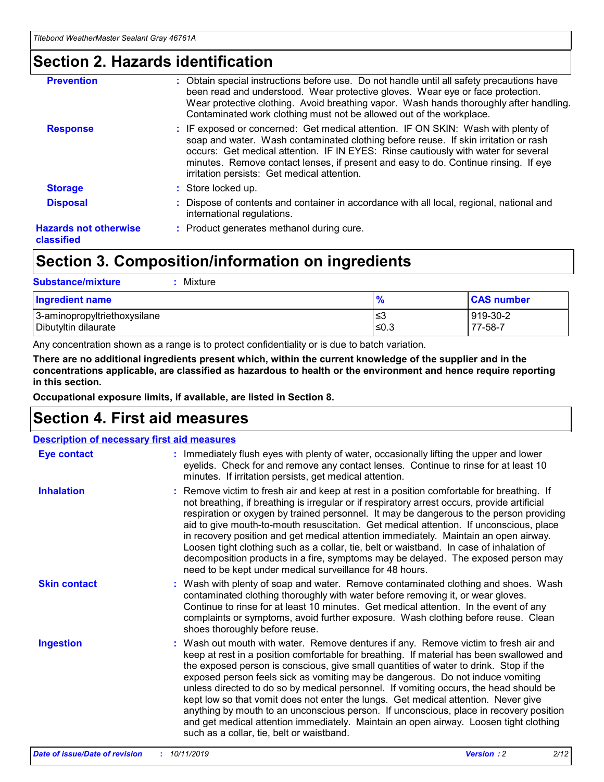### **Section 2. Hazards identification**

| <b>Prevention</b>                          | : Obtain special instructions before use. Do not handle until all safety precautions have<br>been read and understood. Wear protective gloves. Wear eye or face protection.<br>Wear protective clothing. Avoid breathing vapor. Wash hands thoroughly after handling.<br>Contaminated work clothing must not be allowed out of the workplace.                                                        |
|--------------------------------------------|------------------------------------------------------------------------------------------------------------------------------------------------------------------------------------------------------------------------------------------------------------------------------------------------------------------------------------------------------------------------------------------------------|
| <b>Response</b>                            | : IF exposed or concerned: Get medical attention. IF ON SKIN: Wash with plenty of<br>soap and water. Wash contaminated clothing before reuse. If skin irritation or rash<br>occurs: Get medical attention. IF IN EYES: Rinse cautiously with water for several<br>minutes. Remove contact lenses, if present and easy to do. Continue rinsing. If eye<br>irritation persists: Get medical attention. |
| <b>Storage</b>                             | : Store locked up.                                                                                                                                                                                                                                                                                                                                                                                   |
| <b>Disposal</b>                            | : Dispose of contents and container in accordance with all local, regional, national and<br>international regulations.                                                                                                                                                                                                                                                                               |
| <b>Hazards not otherwise</b><br>classified | : Product generates methanol during cure.                                                                                                                                                                                                                                                                                                                                                            |
|                                            |                                                                                                                                                                                                                                                                                                                                                                                                      |

## **Section 3. Composition/information on ingredients**

| <b>Substance/mixture</b><br>: Mixture                |               |                     |
|------------------------------------------------------|---------------|---------------------|
| Ingredient name                                      | $\frac{9}{6}$ | <b>CAS number</b>   |
| 3-aminopropyltriethoxysilane<br>Dibutyltin dilaurate | צ≥<br>≤0.3    | 919-30-2<br>77-58-7 |

Any concentration shown as a range is to protect confidentiality or is due to batch variation.

**There are no additional ingredients present which, within the current knowledge of the supplier and in the concentrations applicable, are classified as hazardous to health or the environment and hence require reporting in this section.**

**Occupational exposure limits, if available, are listed in Section 8.**

### **Section 4. First aid measures**

| <b>Description of necessary first aid measures</b> |                                                                                                                                                                                                                                                                                                                                                                                                                                                                                                                                                                                                                                                                                                                                                                           |  |  |  |
|----------------------------------------------------|---------------------------------------------------------------------------------------------------------------------------------------------------------------------------------------------------------------------------------------------------------------------------------------------------------------------------------------------------------------------------------------------------------------------------------------------------------------------------------------------------------------------------------------------------------------------------------------------------------------------------------------------------------------------------------------------------------------------------------------------------------------------------|--|--|--|
| <b>Eye contact</b>                                 | : Immediately flush eyes with plenty of water, occasionally lifting the upper and lower<br>eyelids. Check for and remove any contact lenses. Continue to rinse for at least 10<br>minutes. If irritation persists, get medical attention.                                                                                                                                                                                                                                                                                                                                                                                                                                                                                                                                 |  |  |  |
| <b>Inhalation</b>                                  | : Remove victim to fresh air and keep at rest in a position comfortable for breathing. If<br>not breathing, if breathing is irregular or if respiratory arrest occurs, provide artificial<br>respiration or oxygen by trained personnel. It may be dangerous to the person providing<br>aid to give mouth-to-mouth resuscitation. Get medical attention. If unconscious, place<br>in recovery position and get medical attention immediately. Maintain an open airway.<br>Loosen tight clothing such as a collar, tie, belt or waistband. In case of inhalation of<br>decomposition products in a fire, symptoms may be delayed. The exposed person may<br>need to be kept under medical surveillance for 48 hours.                                                       |  |  |  |
| <b>Skin contact</b>                                | : Wash with plenty of soap and water. Remove contaminated clothing and shoes. Wash<br>contaminated clothing thoroughly with water before removing it, or wear gloves.<br>Continue to rinse for at least 10 minutes. Get medical attention. In the event of any<br>complaints or symptoms, avoid further exposure. Wash clothing before reuse. Clean<br>shoes thoroughly before reuse.                                                                                                                                                                                                                                                                                                                                                                                     |  |  |  |
| <b>Ingestion</b>                                   | : Wash out mouth with water. Remove dentures if any. Remove victim to fresh air and<br>keep at rest in a position comfortable for breathing. If material has been swallowed and<br>the exposed person is conscious, give small quantities of water to drink. Stop if the<br>exposed person feels sick as vomiting may be dangerous. Do not induce vomiting<br>unless directed to do so by medical personnel. If vomiting occurs, the head should be<br>kept low so that vomit does not enter the lungs. Get medical attention. Never give<br>anything by mouth to an unconscious person. If unconscious, place in recovery position<br>and get medical attention immediately. Maintain an open airway. Loosen tight clothing<br>such as a collar, tie, belt or waistband. |  |  |  |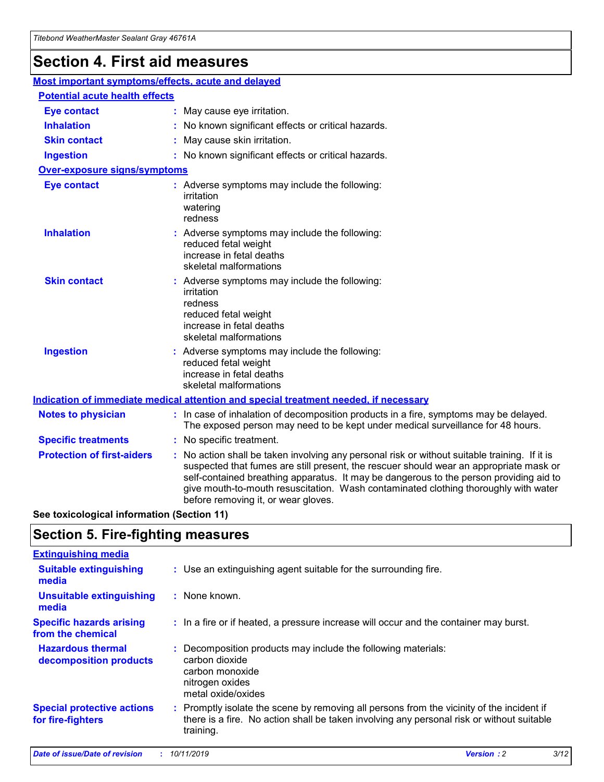# **Section 4. First aid measures**

| Most important symptoms/effects, acute and delayed |                                       |                                                                                                                                                                                                                                                                                                                                                                                                                 |  |  |  |
|----------------------------------------------------|---------------------------------------|-----------------------------------------------------------------------------------------------------------------------------------------------------------------------------------------------------------------------------------------------------------------------------------------------------------------------------------------------------------------------------------------------------------------|--|--|--|
|                                                    | <b>Potential acute health effects</b> |                                                                                                                                                                                                                                                                                                                                                                                                                 |  |  |  |
| <b>Eye contact</b>                                 |                                       | : May cause eye irritation.                                                                                                                                                                                                                                                                                                                                                                                     |  |  |  |
| <b>Inhalation</b>                                  |                                       | : No known significant effects or critical hazards.                                                                                                                                                                                                                                                                                                                                                             |  |  |  |
| <b>Skin contact</b>                                |                                       | : May cause skin irritation.                                                                                                                                                                                                                                                                                                                                                                                    |  |  |  |
| <b>Ingestion</b>                                   |                                       | : No known significant effects or critical hazards.                                                                                                                                                                                                                                                                                                                                                             |  |  |  |
| <b>Over-exposure signs/symptoms</b>                |                                       |                                                                                                                                                                                                                                                                                                                                                                                                                 |  |  |  |
| <b>Eye contact</b>                                 |                                       | : Adverse symptoms may include the following:<br>irritation<br>watering<br>redness                                                                                                                                                                                                                                                                                                                              |  |  |  |
| <b>Inhalation</b>                                  |                                       | : Adverse symptoms may include the following:<br>reduced fetal weight<br>increase in fetal deaths<br>skeletal malformations                                                                                                                                                                                                                                                                                     |  |  |  |
| <b>Skin contact</b>                                |                                       | : Adverse symptoms may include the following:<br>irritation<br>redness<br>reduced fetal weight<br>increase in fetal deaths<br>skeletal malformations                                                                                                                                                                                                                                                            |  |  |  |
| <b>Ingestion</b>                                   |                                       | : Adverse symptoms may include the following:<br>reduced fetal weight<br>increase in fetal deaths<br>skeletal malformations                                                                                                                                                                                                                                                                                     |  |  |  |
|                                                    |                                       | <b>Indication of immediate medical attention and special treatment needed, if necessary</b>                                                                                                                                                                                                                                                                                                                     |  |  |  |
| <b>Notes to physician</b>                          |                                       | : In case of inhalation of decomposition products in a fire, symptoms may be delayed.<br>The exposed person may need to be kept under medical surveillance for 48 hours.                                                                                                                                                                                                                                        |  |  |  |
| <b>Specific treatments</b>                         |                                       | : No specific treatment.                                                                                                                                                                                                                                                                                                                                                                                        |  |  |  |
| <b>Protection of first-aiders</b>                  |                                       | : No action shall be taken involving any personal risk or without suitable training. If it is<br>suspected that fumes are still present, the rescuer should wear an appropriate mask or<br>self-contained breathing apparatus. It may be dangerous to the person providing aid to<br>give mouth-to-mouth resuscitation. Wash contaminated clothing thoroughly with water<br>before removing it, or wear gloves. |  |  |  |

**See toxicological information (Section 11)**

### **Section 5. Fire-fighting measures**

| <b>Extinguishing media</b>                             |                                                                                                                                                                                                     |
|--------------------------------------------------------|-----------------------------------------------------------------------------------------------------------------------------------------------------------------------------------------------------|
| <b>Suitable extinguishing</b><br>media                 | : Use an extinguishing agent suitable for the surrounding fire.                                                                                                                                     |
| <b>Unsuitable extinguishing</b><br>media               | $:$ None known.                                                                                                                                                                                     |
| <b>Specific hazards arising</b><br>from the chemical   | : In a fire or if heated, a pressure increase will occur and the container may burst.                                                                                                               |
| <b>Hazardous thermal</b><br>decomposition products     | : Decomposition products may include the following materials:<br>carbon dioxide<br>carbon monoxide<br>nitrogen oxides<br>metal oxide/oxides                                                         |
| <b>Special protective actions</b><br>for fire-fighters | : Promptly isolate the scene by removing all persons from the vicinity of the incident if<br>there is a fire. No action shall be taken involving any personal risk or without suitable<br>training. |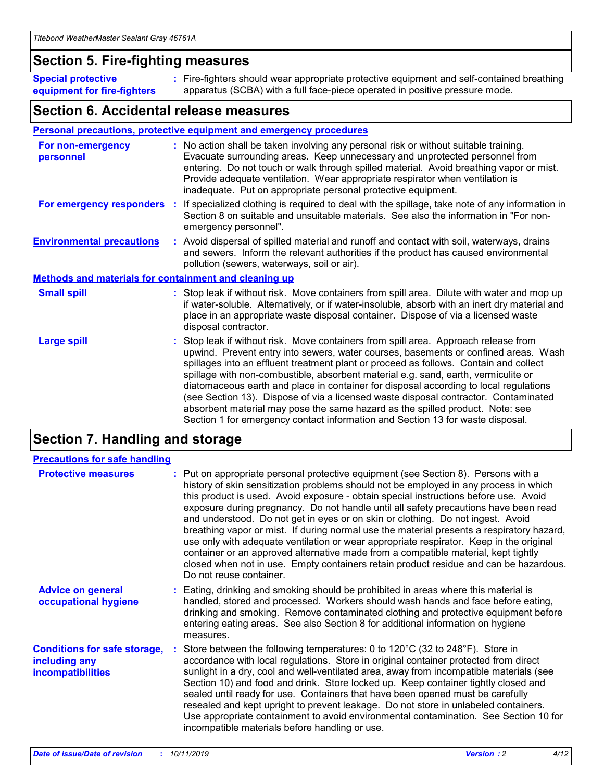### **Section 5. Fire-fighting measures**

**Special protective equipment for fire-fighters** Fire-fighters should wear appropriate protective equipment and self-contained breathing **:** apparatus (SCBA) with a full face-piece operated in positive pressure mode.

### **Section 6. Accidental release measures**

#### **Personal precautions, protective equipment and emergency procedures**

| For non-emergency<br>personnel                               | : No action shall be taken involving any personal risk or without suitable training.<br>Evacuate surrounding areas. Keep unnecessary and unprotected personnel from<br>entering. Do not touch or walk through spilled material. Avoid breathing vapor or mist.<br>Provide adequate ventilation. Wear appropriate respirator when ventilation is<br>inadequate. Put on appropriate personal protective equipment.                                                                                                                                                                                                                                                                                             |
|--------------------------------------------------------------|--------------------------------------------------------------------------------------------------------------------------------------------------------------------------------------------------------------------------------------------------------------------------------------------------------------------------------------------------------------------------------------------------------------------------------------------------------------------------------------------------------------------------------------------------------------------------------------------------------------------------------------------------------------------------------------------------------------|
|                                                              | For emergency responders : If specialized clothing is required to deal with the spillage, take note of any information in<br>Section 8 on suitable and unsuitable materials. See also the information in "For non-<br>emergency personnel".                                                                                                                                                                                                                                                                                                                                                                                                                                                                  |
| <b>Environmental precautions</b>                             | : Avoid dispersal of spilled material and runoff and contact with soil, waterways, drains<br>and sewers. Inform the relevant authorities if the product has caused environmental<br>pollution (sewers, waterways, soil or air).                                                                                                                                                                                                                                                                                                                                                                                                                                                                              |
| <b>Methods and materials for containment and cleaning up</b> |                                                                                                                                                                                                                                                                                                                                                                                                                                                                                                                                                                                                                                                                                                              |
| <b>Small spill</b>                                           | : Stop leak if without risk. Move containers from spill area. Dilute with water and mop up<br>if water-soluble. Alternatively, or if water-insoluble, absorb with an inert dry material and<br>place in an appropriate waste disposal container. Dispose of via a licensed waste<br>disposal contractor.                                                                                                                                                                                                                                                                                                                                                                                                     |
| <b>Large spill</b>                                           | : Stop leak if without risk. Move containers from spill area. Approach release from<br>upwind. Prevent entry into sewers, water courses, basements or confined areas. Wash<br>spillages into an effluent treatment plant or proceed as follows. Contain and collect<br>spillage with non-combustible, absorbent material e.g. sand, earth, vermiculite or<br>diatomaceous earth and place in container for disposal according to local regulations<br>(see Section 13). Dispose of via a licensed waste disposal contractor. Contaminated<br>absorbent material may pose the same hazard as the spilled product. Note: see<br>Section 1 for emergency contact information and Section 13 for waste disposal. |

### **Section 7. Handling and storage**

| <b>Precautions for safe handling</b>                                             |                                                                                                                                                                                                                                                                                                                                                                                                                                                                                                                                                                                                                                                                                                                                                                                                                                                  |
|----------------------------------------------------------------------------------|--------------------------------------------------------------------------------------------------------------------------------------------------------------------------------------------------------------------------------------------------------------------------------------------------------------------------------------------------------------------------------------------------------------------------------------------------------------------------------------------------------------------------------------------------------------------------------------------------------------------------------------------------------------------------------------------------------------------------------------------------------------------------------------------------------------------------------------------------|
| <b>Protective measures</b>                                                       | : Put on appropriate personal protective equipment (see Section 8). Persons with a<br>history of skin sensitization problems should not be employed in any process in which<br>this product is used. Avoid exposure - obtain special instructions before use. Avoid<br>exposure during pregnancy. Do not handle until all safety precautions have been read<br>and understood. Do not get in eyes or on skin or clothing. Do not ingest. Avoid<br>breathing vapor or mist. If during normal use the material presents a respiratory hazard,<br>use only with adequate ventilation or wear appropriate respirator. Keep in the original<br>container or an approved alternative made from a compatible material, kept tightly<br>closed when not in use. Empty containers retain product residue and can be hazardous.<br>Do not reuse container. |
| <b>Advice on general</b><br>occupational hygiene                                 | : Eating, drinking and smoking should be prohibited in areas where this material is<br>handled, stored and processed. Workers should wash hands and face before eating,<br>drinking and smoking. Remove contaminated clothing and protective equipment before<br>entering eating areas. See also Section 8 for additional information on hygiene<br>measures.                                                                                                                                                                                                                                                                                                                                                                                                                                                                                    |
| <b>Conditions for safe storage,</b><br>including any<br><b>incompatibilities</b> | Store between the following temperatures: 0 to $120^{\circ}$ C (32 to $248^{\circ}$ F). Store in<br>accordance with local regulations. Store in original container protected from direct<br>sunlight in a dry, cool and well-ventilated area, away from incompatible materials (see<br>Section 10) and food and drink. Store locked up. Keep container tightly closed and<br>sealed until ready for use. Containers that have been opened must be carefully<br>resealed and kept upright to prevent leakage. Do not store in unlabeled containers.<br>Use appropriate containment to avoid environmental contamination. See Section 10 for<br>incompatible materials before handling or use.                                                                                                                                                     |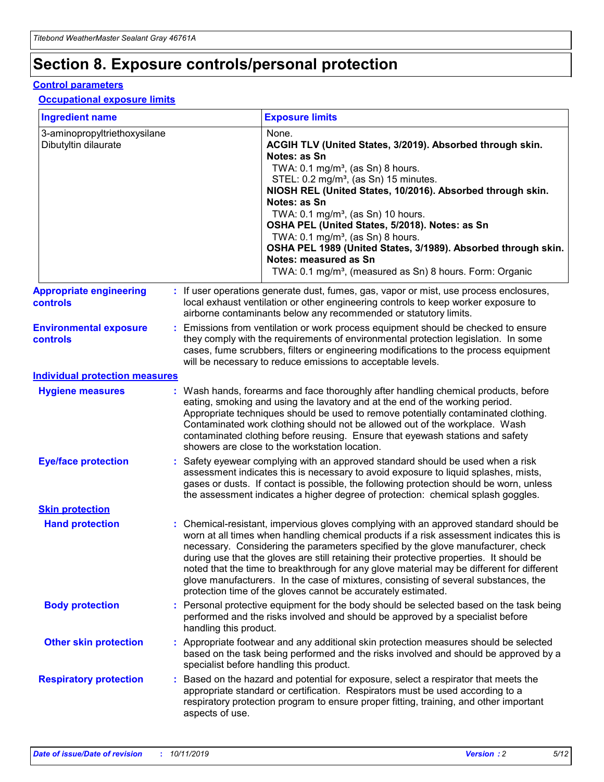# **Section 8. Exposure controls/personal protection**

#### **Control parameters**

#### **Occupational exposure limits**

| <b>Ingredient name</b>                               |    |                        | <b>Exposure limits</b>                                                                                                                                                                                                                                                                                                                                                                                                                                                                                                                                                                                                 |
|------------------------------------------------------|----|------------------------|------------------------------------------------------------------------------------------------------------------------------------------------------------------------------------------------------------------------------------------------------------------------------------------------------------------------------------------------------------------------------------------------------------------------------------------------------------------------------------------------------------------------------------------------------------------------------------------------------------------------|
| 3-aminopropyltriethoxysilane<br>Dibutyltin dilaurate |    |                        | None.<br>ACGIH TLV (United States, 3/2019). Absorbed through skin.<br>Notes: as Sn<br>TWA: $0.1 \text{ mg/m}^3$ , (as Sn) 8 hours.<br>STEL: 0.2 mg/m <sup>3</sup> , (as Sn) 15 minutes.<br>NIOSH REL (United States, 10/2016). Absorbed through skin.<br>Notes: as Sn<br>TWA: 0.1 mg/m <sup>3</sup> , (as Sn) 10 hours.<br>OSHA PEL (United States, 5/2018). Notes: as Sn<br>TWA: $0.1 \text{ mg/m}^3$ , (as Sn) 8 hours.<br>OSHA PEL 1989 (United States, 3/1989). Absorbed through skin.<br>Notes: measured as Sn<br>TWA: 0.1 mg/m <sup>3</sup> , (measured as Sn) 8 hours. Form: Organic                            |
| <b>Appropriate engineering</b><br>controls           |    |                        | : If user operations generate dust, fumes, gas, vapor or mist, use process enclosures,<br>local exhaust ventilation or other engineering controls to keep worker exposure to<br>airborne contaminants below any recommended or statutory limits.                                                                                                                                                                                                                                                                                                                                                                       |
| <b>Environmental exposure</b><br>controls            |    |                        | Emissions from ventilation or work process equipment should be checked to ensure<br>they comply with the requirements of environmental protection legislation. In some<br>cases, fume scrubbers, filters or engineering modifications to the process equipment<br>will be necessary to reduce emissions to acceptable levels.                                                                                                                                                                                                                                                                                          |
| <b>Individual protection measures</b>                |    |                        |                                                                                                                                                                                                                                                                                                                                                                                                                                                                                                                                                                                                                        |
| <b>Hygiene measures</b>                              |    |                        | : Wash hands, forearms and face thoroughly after handling chemical products, before<br>eating, smoking and using the lavatory and at the end of the working period.<br>Appropriate techniques should be used to remove potentially contaminated clothing.<br>Contaminated work clothing should not be allowed out of the workplace. Wash<br>contaminated clothing before reusing. Ensure that eyewash stations and safety<br>showers are close to the workstation location.                                                                                                                                            |
| <b>Eye/face protection</b>                           |    |                        | : Safety eyewear complying with an approved standard should be used when a risk<br>assessment indicates this is necessary to avoid exposure to liquid splashes, mists,<br>gases or dusts. If contact is possible, the following protection should be worn, unless<br>the assessment indicates a higher degree of protection: chemical splash goggles.                                                                                                                                                                                                                                                                  |
| <b>Skin protection</b>                               |    |                        |                                                                                                                                                                                                                                                                                                                                                                                                                                                                                                                                                                                                                        |
| <b>Hand protection</b>                               |    |                        | : Chemical-resistant, impervious gloves complying with an approved standard should be<br>worn at all times when handling chemical products if a risk assessment indicates this is<br>necessary. Considering the parameters specified by the glove manufacturer, check<br>during use that the gloves are still retaining their protective properties. It should be<br>noted that the time to breakthrough for any glove material may be different for different<br>glove manufacturers. In the case of mixtures, consisting of several substances, the<br>protection time of the gloves cannot be accurately estimated. |
| <b>Body protection</b>                               |    | handling this product. | Personal protective equipment for the body should be selected based on the task being<br>performed and the risks involved and should be approved by a specialist before                                                                                                                                                                                                                                                                                                                                                                                                                                                |
| <b>Other skin protection</b>                         |    |                        | : Appropriate footwear and any additional skin protection measures should be selected<br>based on the task being performed and the risks involved and should be approved by a<br>specialist before handling this product.                                                                                                                                                                                                                                                                                                                                                                                              |
| <b>Respiratory protection</b>                        | ÷. | aspects of use.        | Based on the hazard and potential for exposure, select a respirator that meets the<br>appropriate standard or certification. Respirators must be used according to a<br>respiratory protection program to ensure proper fitting, training, and other important                                                                                                                                                                                                                                                                                                                                                         |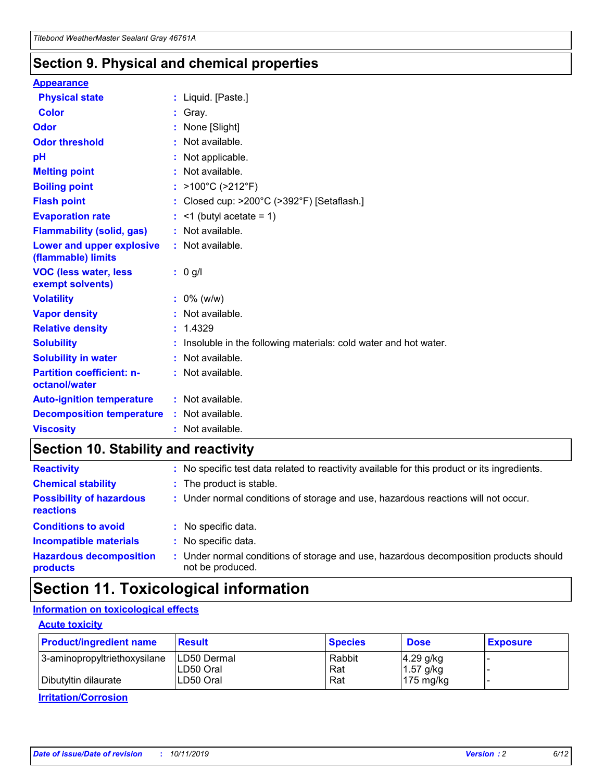### **Section 9. Physical and chemical properties**

#### **Appearance**

| <b>Physical state</b>                             | : Liquid. [Paste.]                                                |
|---------------------------------------------------|-------------------------------------------------------------------|
| Color                                             | Gray.                                                             |
| Odor                                              | None [Slight]                                                     |
| <b>Odor threshold</b>                             | : Not available.                                                  |
| рH                                                | : Not applicable.                                                 |
| <b>Melting point</b>                              | : Not available.                                                  |
| <b>Boiling point</b>                              | : $>100^{\circ}$ C ( $>212^{\circ}$ F)                            |
| <b>Flash point</b>                                | : Closed cup: $>200^{\circ}$ C ( $>392^{\circ}$ F) [Setaflash.]   |
| <b>Evaporation rate</b>                           | $:$ <1 (butyl acetate = 1)                                        |
| <b>Flammability (solid, gas)</b>                  | : Not available.                                                  |
| Lower and upper explosive<br>(flammable) limits   | : Not available.                                                  |
| <b>VOC (less water, less</b><br>exempt solvents)  | $: 0$ g/l                                                         |
| <b>Volatility</b>                                 | $: 0\%$ (w/w)                                                     |
| <b>Vapor density</b>                              | : Not available.                                                  |
| <b>Relative density</b>                           | : 1.4329                                                          |
| <b>Solubility</b>                                 | : Insoluble in the following materials: cold water and hot water. |
| <b>Solubility in water</b>                        | : Not available.                                                  |
| <b>Partition coefficient: n-</b><br>octanol/water | : Not available.                                                  |
| <b>Auto-ignition temperature</b>                  | $:$ Not available.                                                |
| <b>Decomposition temperature</b>                  | : Not available.                                                  |
| <b>Viscosity</b>                                  | : Not available.                                                  |

### **Section 10. Stability and reactivity**

| <b>Reactivity</b>                            |    | : No specific test data related to reactivity available for this product or its ingredients.            |
|----------------------------------------------|----|---------------------------------------------------------------------------------------------------------|
| <b>Chemical stability</b>                    |    | : The product is stable.                                                                                |
| <b>Possibility of hazardous</b><br>reactions |    | : Under normal conditions of storage and use, hazardous reactions will not occur.                       |
| <b>Conditions to avoid</b>                   |    | : No specific data.                                                                                     |
| <b>Incompatible materials</b>                | ٠. | No specific data.                                                                                       |
| <b>Hazardous decomposition</b><br>products   | ÷. | Under normal conditions of storage and use, hazardous decomposition products should<br>not be produced. |

## **Section 11. Toxicological information**

### **Information on toxicological effects**

#### **Acute toxicity**

| <b>Product/ingredient name</b> | <b>Result</b>           | <b>Species</b> | <b>Dose</b>                | <b>Exposure</b> |
|--------------------------------|-------------------------|----------------|----------------------------|-----------------|
| 3-aminopropyltriethoxysilane   | <b>ILD50 Dermal</b>     | Rabbit         | 4.29 g/kg                  |                 |
| Dibutyltin dilaurate           | ILD50 Oral<br>LD50 Oral | Rat<br>Rat     | $1.57$ g/kg<br>175 $mg/kg$ |                 |
|                                |                         |                |                            |                 |

**Irritation/Corrosion**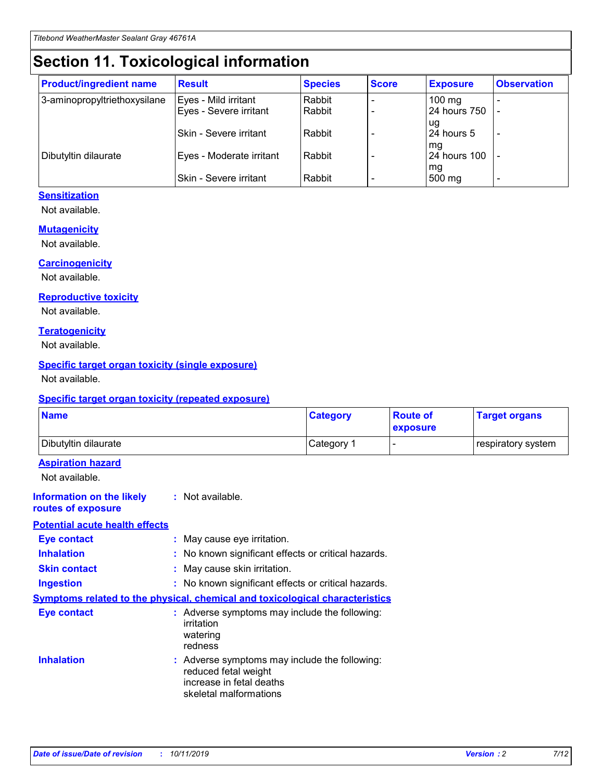# **Section 11. Toxicological information**

| <b>Product/ingredient name</b> | <b>Result</b>            | <b>Species</b> | <b>Score</b> | <b>Exposure</b>           | <b>Observation</b> |
|--------------------------------|--------------------------|----------------|--------------|---------------------------|--------------------|
| 3-aminopropyltriethoxysilane   | Eyes - Mild irritant     | Rabbit         |              | $100$ mg                  |                    |
|                                | Eyes - Severe irritant   | Rabbit         |              | 24 hours 750              |                    |
|                                |                          |                |              | ug                        |                    |
|                                | Skin - Severe irritant   | Rabbit         |              | 24 hours 5                | -                  |
| Dibutyltin dilaurate           | Eyes - Moderate irritant | Rabbit         |              | mq<br><b>24 hours 100</b> |                    |
|                                |                          |                |              | mg                        |                    |
|                                | Skin - Severe irritant   | Rabbit         |              | 500 mg                    |                    |

#### **Sensitization**

Not available.

#### **Mutagenicity**

Not available.

#### **Carcinogenicity**

Not available.

#### **Reproductive toxicity**

Not available.

#### **Teratogenicity**

Not available.

#### **Specific target organ toxicity (single exposure)**

Not available.

#### **Specific target organ toxicity (repeated exposure)**

| <b>Name</b>                                                                  |                                                                                                                             | <b>Category</b> | <b>Route of</b><br>exposure | <b>Target organs</b> |
|------------------------------------------------------------------------------|-----------------------------------------------------------------------------------------------------------------------------|-----------------|-----------------------------|----------------------|
| Dibutyltin dilaurate                                                         |                                                                                                                             | Category 1      |                             | respiratory system   |
| <b>Aspiration hazard</b><br>Not available.                                   |                                                                                                                             |                 |                             |                      |
| <b>Information on the likely</b><br>routes of exposure                       | : Not available.                                                                                                            |                 |                             |                      |
| <b>Potential acute health effects</b>                                        |                                                                                                                             |                 |                             |                      |
| <b>Eye contact</b>                                                           | : May cause eye irritation.                                                                                                 |                 |                             |                      |
| <b>Inhalation</b>                                                            | : No known significant effects or critical hazards.                                                                         |                 |                             |                      |
| <b>Skin contact</b>                                                          | : May cause skin irritation.                                                                                                |                 |                             |                      |
| <b>Ingestion</b>                                                             | : No known significant effects or critical hazards.                                                                         |                 |                             |                      |
| Symptoms related to the physical, chemical and toxicological characteristics |                                                                                                                             |                 |                             |                      |
| <b>Eye contact</b>                                                           | : Adverse symptoms may include the following:<br>irritation<br>watering<br>redness                                          |                 |                             |                      |
| <b>Inhalation</b>                                                            | : Adverse symptoms may include the following:<br>reduced fetal weight<br>increase in fetal deaths<br>skeletal malformations |                 |                             |                      |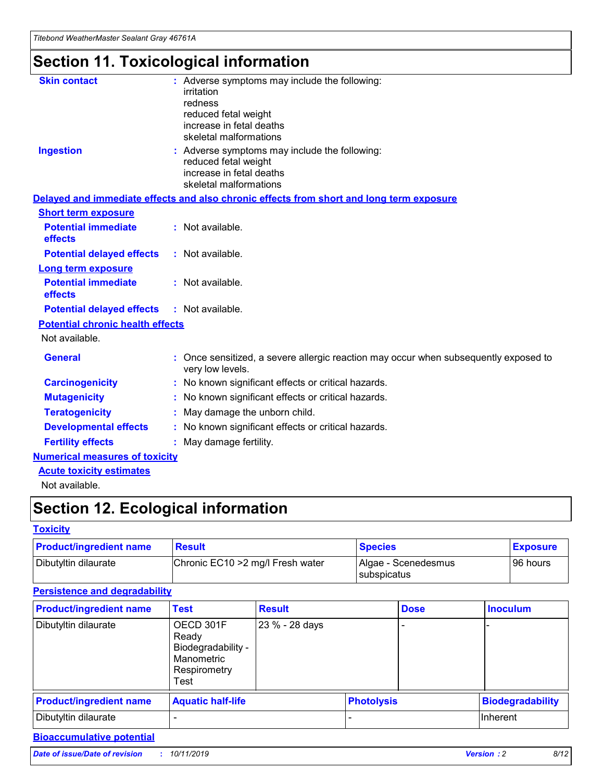# **Section 11. Toxicological information**

| <b>Skin contact</b>                     | : Adverse symptoms may include the following:<br>irritation<br>redness<br>reduced fetal weight<br>increase in fetal deaths<br>skeletal malformations |
|-----------------------------------------|------------------------------------------------------------------------------------------------------------------------------------------------------|
| <b>Ingestion</b>                        | : Adverse symptoms may include the following:<br>reduced fetal weight<br>increase in fetal deaths<br>skeletal malformations                          |
|                                         | Delayed and immediate effects and also chronic effects from short and long term exposure                                                             |
| <b>Short term exposure</b>              |                                                                                                                                                      |
| <b>Potential immediate</b><br>effects   | : Not available.                                                                                                                                     |
| <b>Potential delayed effects</b>        | : Not available.                                                                                                                                     |
| <b>Long term exposure</b>               |                                                                                                                                                      |
| <b>Potential immediate</b><br>effects   | : Not available.                                                                                                                                     |
| <b>Potential delayed effects</b>        | : Not available.                                                                                                                                     |
| <b>Potential chronic health effects</b> |                                                                                                                                                      |
| Not available.                          |                                                                                                                                                      |
| <b>General</b>                          | : Once sensitized, a severe allergic reaction may occur when subsequently exposed to<br>very low levels.                                             |
| <b>Carcinogenicity</b>                  | : No known significant effects or critical hazards.                                                                                                  |
| <b>Mutagenicity</b>                     | No known significant effects or critical hazards.                                                                                                    |
| <b>Teratogenicity</b>                   | May damage the unborn child.                                                                                                                         |
| <b>Developmental effects</b>            | No known significant effects or critical hazards.                                                                                                    |
| <b>Fertility effects</b>                | : May damage fertility.                                                                                                                              |
| <b>Numerical measures of toxicity</b>   |                                                                                                                                                      |
| <b>Acute toxicity estimates</b>         |                                                                                                                                                      |
|                                         |                                                                                                                                                      |

Not available.

# **Section 12. Ecological information**

#### **Toxicity**

| <b>Product/ingredient name</b> | <b>Result</b>                     | <b>Species</b>                       | <b>Exposure</b> |
|--------------------------------|-----------------------------------|--------------------------------------|-----------------|
| Dibutyltin dilaurate           | Chronic EC10 > 2 mg/l Fresh water | Algae - Scenedesmus<br>I subspicatus | l 96 hours i    |

### **Persistence and degradability**

| <b>Product/ingredient name</b> | <b>Test</b>                                                                    | <b>Result</b>  |                   | <b>Dose</b> | <b>Inoculum</b>         |
|--------------------------------|--------------------------------------------------------------------------------|----------------|-------------------|-------------|-------------------------|
| Dibutyltin dilaurate           | OECD 301F<br>Ready<br>Biodegradability -<br>Manometric<br>Respirometry<br>Test | 23 % - 28 days |                   |             |                         |
| <b>Product/ingredient name</b> | <b>Aquatic half-life</b>                                                       |                | <b>Photolysis</b> |             | <b>Biodegradability</b> |
| Dibutyltin dilaurate           |                                                                                |                |                   |             | Inherent                |

### **Bioaccumulative potential**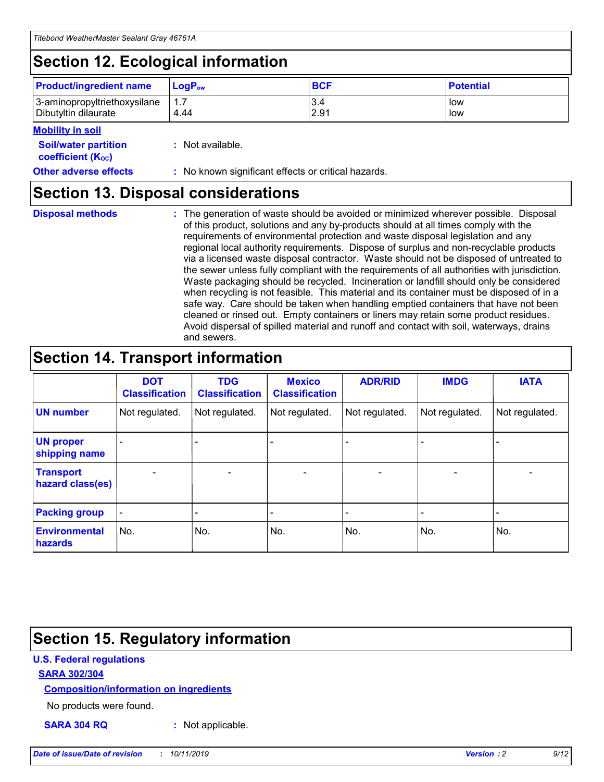# **Section 12. Ecological information**

| <b>Product/ingredient name</b> | $LoaPow$ | <b>BCF</b> | <b>Potential</b> |
|--------------------------------|----------|------------|------------------|
| 3-aminopropyltriethoxysilane   | 1.7      | 3.4        | low              |
| Dibutyltin dilaurate           | 4.44     | 2.91       | low              |

#### **Mobility in soil**

| <b>Soil/water partition</b><br>coefficient (K <sub>oc</sub> ) | : Not available.                                    |
|---------------------------------------------------------------|-----------------------------------------------------|
| <b>Other adverse effects</b>                                  | : No known significant effects or critical hazards. |

### **Section 13. Disposal considerations**

**Disposal methods :**

The generation of waste should be avoided or minimized wherever possible. Disposal of this product, solutions and any by-products should at all times comply with the requirements of environmental protection and waste disposal legislation and any regional local authority requirements. Dispose of surplus and non-recyclable products via a licensed waste disposal contractor. Waste should not be disposed of untreated to the sewer unless fully compliant with the requirements of all authorities with jurisdiction. Waste packaging should be recycled. Incineration or landfill should only be considered when recycling is not feasible. This material and its container must be disposed of in a safe way. Care should be taken when handling emptied containers that have not been cleaned or rinsed out. Empty containers or liners may retain some product residues. Avoid dispersal of spilled material and runoff and contact with soil, waterways, drains and sewers.

## **Section 14. Transport information**

|                                      | <b>DOT</b><br><b>Classification</b> | <b>TDG</b><br><b>Classification</b> | <b>Mexico</b><br><b>Classification</b> | <b>ADR/RID</b>           | <b>IMDG</b>              | <b>IATA</b>    |
|--------------------------------------|-------------------------------------|-------------------------------------|----------------------------------------|--------------------------|--------------------------|----------------|
| <b>UN number</b>                     | Not regulated.                      | Not regulated.                      | Not regulated.                         | Not regulated.           | Not regulated.           | Not regulated. |
| <b>UN proper</b><br>shipping name    | $\blacksquare$                      |                                     |                                        |                          |                          |                |
| <b>Transport</b><br>hazard class(es) | $\blacksquare$                      | $\overline{\phantom{a}}$            | $\overline{\phantom{a}}$               | $\overline{\phantom{a}}$ | $\overline{\phantom{a}}$ | $\blacksquare$ |
| <b>Packing group</b>                 | $\overline{\phantom{a}}$            | -                                   | -                                      | -                        |                          | -              |
| <b>Environmental</b><br>hazards      | No.                                 | No.                                 | No.                                    | No.                      | No.                      | No.            |

# **Section 15. Regulatory information**

#### **U.S. Federal regulations**

#### **SARA 302/304**

#### **Composition/information on ingredients**

No products were found.

**SARA 304 RQ :** Not applicable.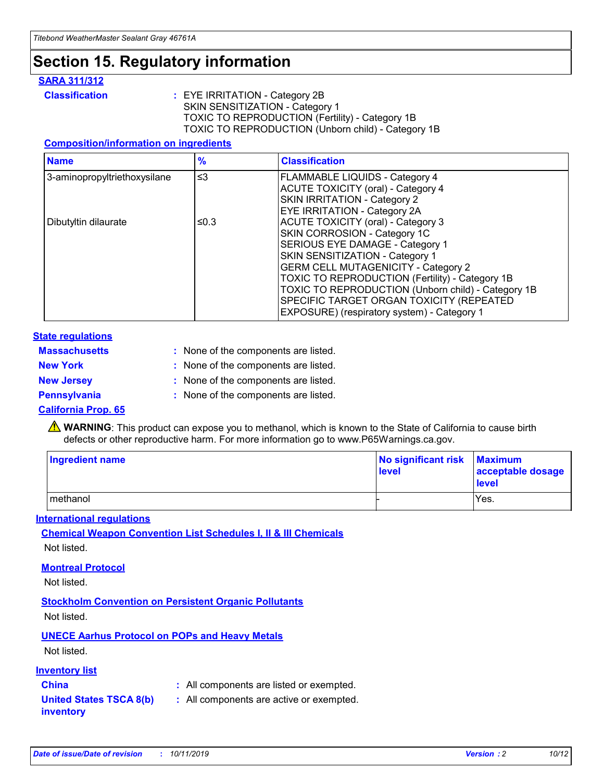## **Section 15. Regulatory information**

#### **SARA 311/312**

**Classification :** EYE IRRITATION - Category 2B SKIN SENSITIZATION - Category 1 TOXIC TO REPRODUCTION (Fertility) - Category 1B TOXIC TO REPRODUCTION (Unborn child) - Category 1B

#### **Composition/information on ingredients**

| <b>Name</b>                  | $\frac{9}{6}$ | <b>Classification</b>                                                                                                                                                                                                                                                                                                                  |
|------------------------------|---------------|----------------------------------------------------------------------------------------------------------------------------------------------------------------------------------------------------------------------------------------------------------------------------------------------------------------------------------------|
| 3-aminopropyltriethoxysilane | $\leq$ 3      | <b>FLAMMABLE LIQUIDS - Category 4</b><br><b>ACUTE TOXICITY (oral) - Category 4</b><br>SKIN IRRITATION - Category 2                                                                                                                                                                                                                     |
| Dibutyltin dilaurate         | ≤0.3          | EYE IRRITATION - Category 2A<br><b>ACUTE TOXICITY (oral) - Category 3</b><br>SKIN CORROSION - Category 1C<br>SERIOUS EYE DAMAGE - Category 1<br>SKIN SENSITIZATION - Category 1<br><b>GERM CELL MUTAGENICITY - Category 2</b><br>TOXIC TO REPRODUCTION (Fertility) - Category 1B<br>TOXIC TO REPRODUCTION (Unborn child) - Category 1B |
|                              |               | SPECIFIC TARGET ORGAN TOXICITY (REPEATED<br>EXPOSURE) (respiratory system) - Category 1                                                                                                                                                                                                                                                |

#### **State regulations**

| <b>Massachusetts</b> | : None of the components are listed. |
|----------------------|--------------------------------------|
| <b>New York</b>      | : None of the components are listed. |
| <b>New Jersey</b>    | : None of the components are listed. |
| Pennsylvania         | : None of the components are listed. |

#### **California Prop. 65**

**A** WARNING: This product can expose you to methanol, which is known to the State of California to cause birth defects or other reproductive harm. For more information go to www.P65Warnings.ca.gov.

| <b>Ingredient name</b> | No significant risk Maximum<br>level | acceptable dosage<br>level |
|------------------------|--------------------------------------|----------------------------|
| methanol               |                                      | Yes.                       |

#### **International regulations**

**Chemical Weapon Convention List Schedules I, II & III Chemicals** Not listed.

#### **Montreal Protocol**

Not listed.

**Stockholm Convention on Persistent Organic Pollutants**

Not listed.

### **UNECE Aarhus Protocol on POPs and Heavy Metals**

Not listed.

#### **Inventory list**

### **China :** All components are listed or exempted.

**United States TSCA 8(b) inventory :** All components are active or exempted.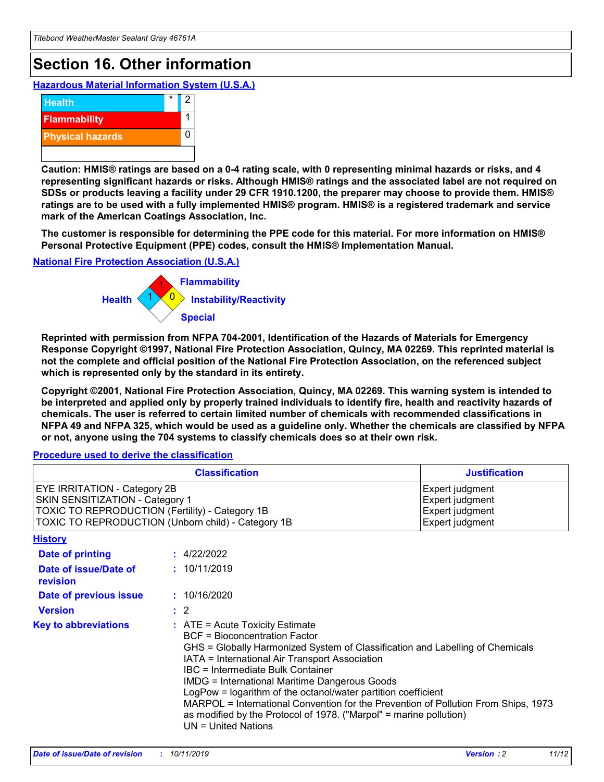# **Section 16. Other information**

**Hazardous Material Information System (U.S.A.)**



**Caution: HMIS® ratings are based on a 0-4 rating scale, with 0 representing minimal hazards or risks, and 4 representing significant hazards or risks. Although HMIS® ratings and the associated label are not required on SDSs or products leaving a facility under 29 CFR 1910.1200, the preparer may choose to provide them. HMIS® ratings are to be used with a fully implemented HMIS® program. HMIS® is a registered trademark and service mark of the American Coatings Association, Inc.**

**The customer is responsible for determining the PPE code for this material. For more information on HMIS® Personal Protective Equipment (PPE) codes, consult the HMIS® Implementation Manual.**

#### **National Fire Protection Association (U.S.A.)**



**Reprinted with permission from NFPA 704-2001, Identification of the Hazards of Materials for Emergency Response Copyright ©1997, National Fire Protection Association, Quincy, MA 02269. This reprinted material is not the complete and official position of the National Fire Protection Association, on the referenced subject which is represented only by the standard in its entirety.**

**Copyright ©2001, National Fire Protection Association, Quincy, MA 02269. This warning system is intended to be interpreted and applied only by properly trained individuals to identify fire, health and reactivity hazards of chemicals. The user is referred to certain limited number of chemicals with recommended classifications in NFPA 49 and NFPA 325, which would be used as a guideline only. Whether the chemicals are classified by NFPA or not, anyone using the 704 systems to classify chemicals does so at their own risk.**

#### **Procedure used to derive the classification**

| <b>Classification</b>                                                                                                                                                                  |                                                                                                                                                                                                                                                                   | <b>Justification</b>                                                                                                                                                                                                                                                                                       |  |
|----------------------------------------------------------------------------------------------------------------------------------------------------------------------------------------|-------------------------------------------------------------------------------------------------------------------------------------------------------------------------------------------------------------------------------------------------------------------|------------------------------------------------------------------------------------------------------------------------------------------------------------------------------------------------------------------------------------------------------------------------------------------------------------|--|
| <b>EYE IRRITATION - Category 2B</b><br>SKIN SENSITIZATION - Category 1<br><b>TOXIC TO REPRODUCTION (Fertility) - Category 1B</b><br>TOXIC TO REPRODUCTION (Unborn child) - Category 1B |                                                                                                                                                                                                                                                                   | Expert judgment<br>Expert judgment<br>Expert judgment<br>Expert judgment                                                                                                                                                                                                                                   |  |
| <b>History</b>                                                                                                                                                                         |                                                                                                                                                                                                                                                                   |                                                                                                                                                                                                                                                                                                            |  |
| Date of printing                                                                                                                                                                       | : 4/22/2022                                                                                                                                                                                                                                                       |                                                                                                                                                                                                                                                                                                            |  |
| Date of issue/Date of<br>revision                                                                                                                                                      | : 10/11/2019                                                                                                                                                                                                                                                      |                                                                                                                                                                                                                                                                                                            |  |
| Date of previous issue                                                                                                                                                                 | : 10/16/2020                                                                                                                                                                                                                                                      |                                                                                                                                                                                                                                                                                                            |  |
| <b>Version</b>                                                                                                                                                                         | $\therefore$ 2                                                                                                                                                                                                                                                    |                                                                                                                                                                                                                                                                                                            |  |
| <b>Key to abbreviations</b>                                                                                                                                                            | $\therefore$ ATE = Acute Toxicity Estimate<br><b>BCF</b> = Bioconcentration Factor<br>IATA = International Air Transport Association<br><b>IBC</b> = Intermediate Bulk Container<br><b>IMDG = International Maritime Dangerous Goods</b><br>$UN = United Nations$ | GHS = Globally Harmonized System of Classification and Labelling of Chemicals<br>LogPow = logarithm of the octanol/water partition coefficient<br>MARPOL = International Convention for the Prevention of Pollution From Ships, 1973<br>as modified by the Protocol of 1978. ("Marpol" = marine pollution) |  |